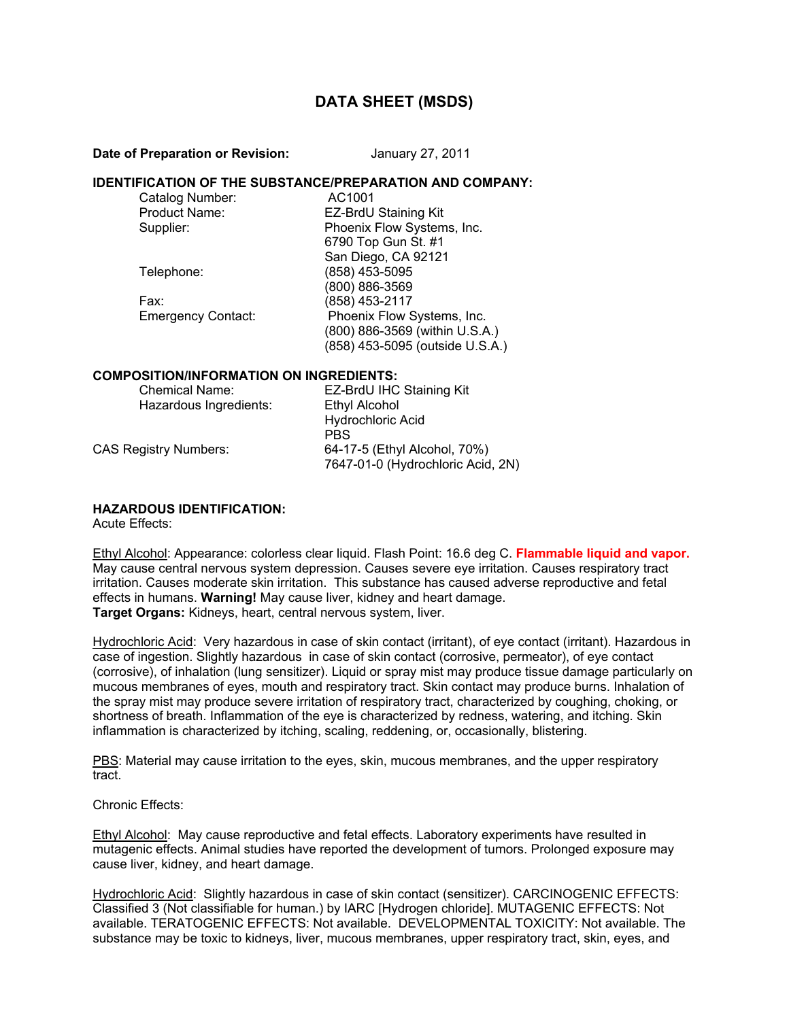# **DATA SHEET (MSDS)**

#### **Date of Preparation or Revision:** January 27, 2011

### **IDENTIFICATION OF THE SUBSTANCE/PREPARATION AND COMPANY:**

| Catalog Number:           | AC1001                          |
|---------------------------|---------------------------------|
| Product Name:             | EZ-BrdU Staining Kit            |
| Supplier:                 | Phoenix Flow Systems, Inc.      |
|                           | 6790 Top Gun St. #1             |
|                           | San Diego, CA 92121             |
| Telephone:                | (858) 453-5095                  |
|                           | (800) 886-3569                  |
| Fax:                      | (858) 453-2117                  |
| <b>Emergency Contact:</b> | Phoenix Flow Systems, Inc.      |
|                           | (800) 886-3569 (within U.S.A.)  |
|                           | (858) 453-5095 (outside U.S.A.) |

#### **COMPOSITION/INFORMATION ON INGREDIENTS:**

| <b>Chemical Name:</b><br>Hazardous Ingredients: | EZ-BrdU IHC Staining Kit<br>Ethyl Alcohol                         |
|-------------------------------------------------|-------------------------------------------------------------------|
|                                                 | <b>Hydrochloric Acid</b>                                          |
|                                                 | <b>PBS</b>                                                        |
| CAS Registry Numbers:                           | 64-17-5 (Ethyl Alcohol, 70%)<br>7647-01-0 (Hydrochloric Acid, 2N) |

# **HAZARDOUS IDENTIFICATION:**

Acute Effects:

Ethyl Alcohol: Appearance: colorless clear liquid. Flash Point: 16.6 deg C. **Flammable liquid and vapor.**  May cause central nervous system depression. Causes severe eye irritation. Causes respiratory tract irritation. Causes moderate skin irritation. This substance has caused adverse reproductive and fetal effects in humans. **Warning!** May cause liver, kidney and heart damage. **Target Organs:** Kidneys, heart, central nervous system, liver.

Hydrochloric Acid: Very hazardous in case of skin contact (irritant), of eye contact (irritant). Hazardous in case of ingestion. Slightly hazardous in case of skin contact (corrosive, permeator), of eye contact (corrosive), of inhalation (lung sensitizer). Liquid or spray mist may produce tissue damage particularly on mucous membranes of eyes, mouth and respiratory tract. Skin contact may produce burns. Inhalation of the spray mist may produce severe irritation of respiratory tract, characterized by coughing, choking, or shortness of breath. Inflammation of the eye is characterized by redness, watering, and itching. Skin inflammation is characterized by itching, scaling, reddening, or, occasionally, blistering.

PBS: Material may cause irritation to the eyes, skin, mucous membranes, and the upper respiratory tract.

#### Chronic Effects:

Ethyl Alcohol: May cause reproductive and fetal effects. Laboratory experiments have resulted in mutagenic effects. Animal studies have reported the development of tumors. Prolonged exposure may cause liver, kidney, and heart damage.

Hydrochloric Acid: Slightly hazardous in case of skin contact (sensitizer). CARCINOGENIC EFFECTS: Classified 3 (Not classifiable for human.) by IARC [Hydrogen chloride]. MUTAGENIC EFFECTS: Not available. TERATOGENIC EFFECTS: Not available. DEVELOPMENTAL TOXICITY: Not available. The substance may be toxic to kidneys, liver, mucous membranes, upper respiratory tract, skin, eyes, and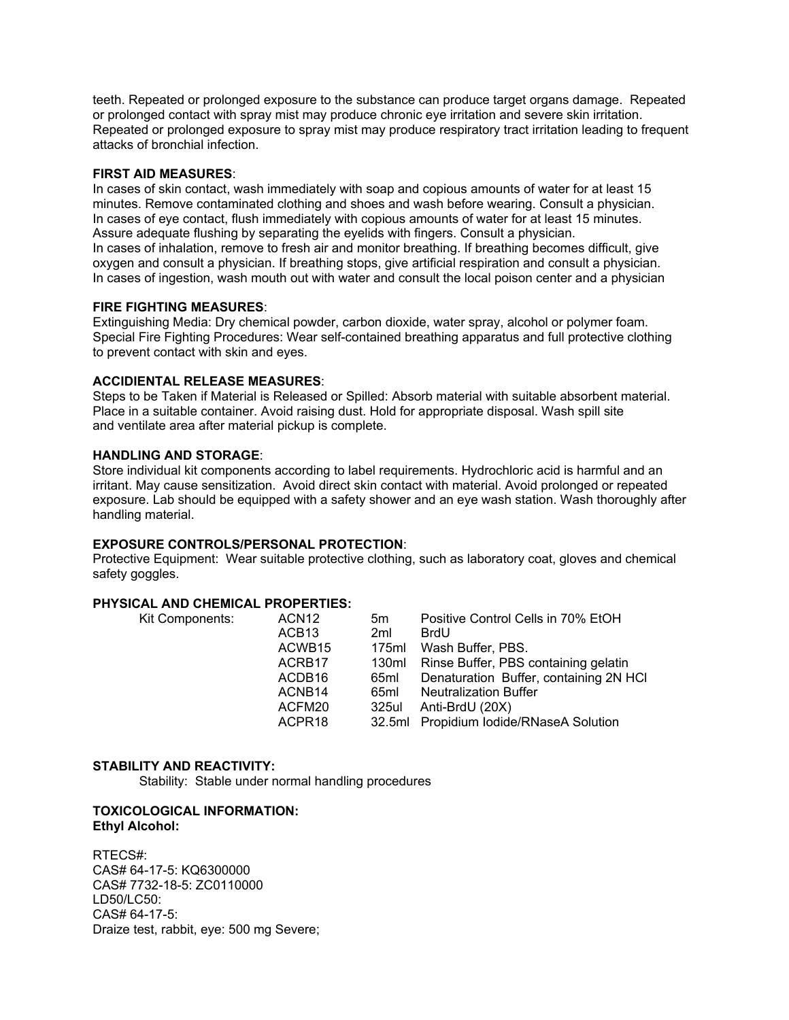teeth. Repeated or prolonged exposure to the substance can produce target organs damage. Repeated or prolonged contact with spray mist may produce chronic eye irritation and severe skin irritation. Repeated or prolonged exposure to spray mist may produce respiratory tract irritation leading to frequent attacks of bronchial infection.

# **FIRST AID MEASURES**:

In cases of skin contact, wash immediately with soap and copious amounts of water for at least 15 minutes. Remove contaminated clothing and shoes and wash before wearing. Consult a physician. In cases of eye contact, flush immediately with copious amounts of water for at least 15 minutes. Assure adequate flushing by separating the eyelids with fingers. Consult a physician.

In cases of inhalation, remove to fresh air and monitor breathing. If breathing becomes difficult, give oxygen and consult a physician. If breathing stops, give artificial respiration and consult a physician. In cases of ingestion, wash mouth out with water and consult the local poison center and a physician

#### **FIRE FIGHTING MEASURES**:

Extinguishing Media: Dry chemical powder, carbon dioxide, water spray, alcohol or polymer foam. Special Fire Fighting Procedures: Wear self-contained breathing apparatus and full protective clothing to prevent contact with skin and eyes.

# **ACCIDIENTAL RELEASE MEASURES**:

Steps to be Taken if Material is Released or Spilled: Absorb material with suitable absorbent material. Place in a suitable container. Avoid raising dust. Hold for appropriate disposal. Wash spill site and ventilate area after material pickup is complete.

#### **HANDLING AND STORAGE**:

Store individual kit components according to label requirements. Hydrochloric acid is harmful and an irritant. May cause sensitization. Avoid direct skin contact with material. Avoid prolonged or repeated exposure. Lab should be equipped with a safety shower and an eye wash station. Wash thoroughly after handling material.

# **EXPOSURE CONTROLS/PERSONAL PROTECTION**:

Protective Equipment: Wear suitable protective clothing, such as laboratory coat, gloves and chemical safety goggles.

# **PHYSICAL AND CHEMICAL PROPERTIES:**

| Kit Components: | ACN <sub>12</sub><br>ACB <sub>13</sub><br>ACWB <sub>15</sub><br>ACRB <sub>17</sub><br>ACDB <sub>16</sub><br>ACNB <sub>14</sub><br>ACFM20<br>ACPR <sub>18</sub> | 5m<br>2 <sub>ml</sub><br>175ml<br>130ml<br>65ml<br>65ml<br>325ul | Positive Control Cells in 70% EtOH<br><b>BrdU</b><br>Wash Buffer, PBS.<br>Rinse Buffer, PBS containing gelatin<br>Denaturation Buffer, containing 2N HCI<br><b>Neutralization Buffer</b><br>Anti-BrdU (20X)<br>32.5ml Propidium Iodide/RNaseA Solution |
|-----------------|----------------------------------------------------------------------------------------------------------------------------------------------------------------|------------------------------------------------------------------|--------------------------------------------------------------------------------------------------------------------------------------------------------------------------------------------------------------------------------------------------------|
|-----------------|----------------------------------------------------------------------------------------------------------------------------------------------------------------|------------------------------------------------------------------|--------------------------------------------------------------------------------------------------------------------------------------------------------------------------------------------------------------------------------------------------------|

### **STABILITY AND REACTIVITY:**

Stability: Stable under normal handling procedures

#### **TOXICOLOGICAL INFORMATION: Ethyl Alcohol:**

RTECS#: CAS# 64-17-5: KQ6300000 CAS# 7732-18-5: ZC0110000 LD50/LC50: CAS# 64-17-5: Draize test, rabbit, eye: 500 mg Severe;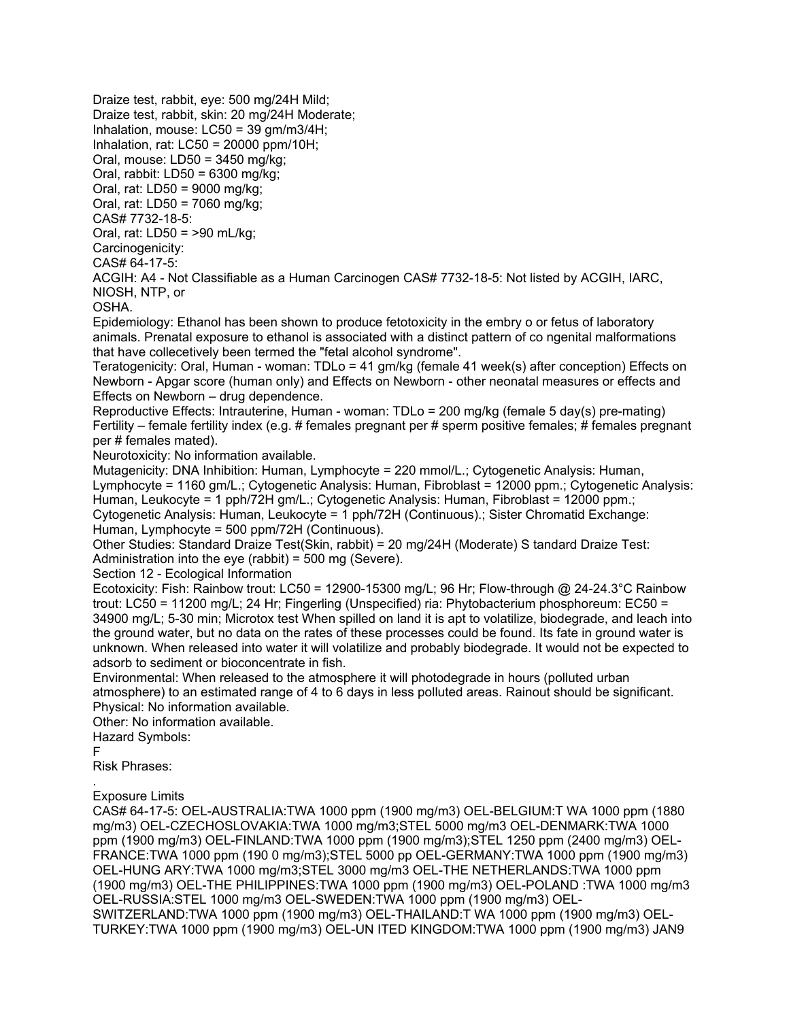Draize test, rabbit, eye: 500 mg/24H Mild;

Draize test, rabbit, skin: 20 mg/24H Moderate;

Inhalation, mouse:  $LC50 = 39$  gm/m $3/4H$ :

Inhalation, rat: LC50 = 20000 ppm/10H;

Oral, mouse: LD50 = 3450 mg/kg;

Oral, rabbit: LD50 = 6300 mg/kg;

Oral, rat: LD50 = 9000 mg/kg;

Oral, rat: LD50 = 7060 mg/kg;

CAS# 7732-18-5:

Oral, rat: LD50 = >90 mL/kg;

Carcinogenicity: CAS# 64-17-5:

ACGIH: A4 - Not Classifiable as a Human Carcinogen CAS# 7732-18-5: Not listed by ACGIH, IARC, NIOSH, NTP, or

OSHA.

Epidemiology: Ethanol has been shown to produce fetotoxicity in the embry o or fetus of laboratory animals. Prenatal exposure to ethanol is associated with a distinct pattern of co ngenital malformations that have collecetively been termed the "fetal alcohol syndrome".

Teratogenicity: Oral, Human - woman: TDLo = 41 gm/kg (female 41 week(s) after conception) Effects on Newborn - Apgar score (human only) and Effects on Newborn - other neonatal measures or effects and Effects on Newborn – drug dependence.

Reproductive Effects: Intrauterine, Human - woman: TDLo = 200 mg/kg (female 5 day(s) pre-mating) Fertility – female fertility index (e.g. # females pregnant per # sperm positive females; # females pregnant per # females mated).

Neurotoxicity: No information available.

Mutagenicity: DNA Inhibition: Human, Lymphocyte = 220 mmol/L.; Cytogenetic Analysis: Human, Lymphocyte = 1160 gm/L.; Cytogenetic Analysis: Human, Fibroblast = 12000 ppm.; Cytogenetic Analysis: Human, Leukocyte = 1 pph/72H gm/L.; Cytogenetic Analysis: Human, Fibroblast = 12000 ppm.; Cytogenetic Analysis: Human, Leukocyte = 1 pph/72H (Continuous).; Sister Chromatid Exchange: Human, Lymphocyte = 500 ppm/72H (Continuous).

Other Studies: Standard Draize Test(Skin, rabbit) = 20 mg/24H (Moderate) S tandard Draize Test: Administration into the eye (rabbit) = 500 mg (Severe).

Section 12 - Ecological Information

Ecotoxicity: Fish: Rainbow trout: LC50 = 12900-15300 mg/L; 96 Hr; Flow-through @ 24-24.3°C Rainbow trout: LC50 = 11200 mg/L; 24 Hr; Fingerling (Unspecified) ria: Phytobacterium phosphoreum: EC50 = 34900 mg/L; 5-30 min; Microtox test When spilled on land it is apt to volatilize, biodegrade, and leach into the ground water, but no data on the rates of these processes could be found. Its fate in ground water is unknown. When released into water it will volatilize and probably biodegrade. It would not be expected to adsorb to sediment or bioconcentrate in fish.

Environmental: When released to the atmosphere it will photodegrade in hours (polluted urban atmosphere) to an estimated range of 4 to 6 days in less polluted areas. Rainout should be significant. Physical: No information available.

Other: No information available.

Hazard Symbols:

F

Risk Phrases:

. Exposure Limits

CAS# 64-17-5: OEL-AUSTRALIA:TWA 1000 ppm (1900 mg/m3) OEL-BELGIUM:T WA 1000 ppm (1880 mg/m3) OEL-CZECHOSLOVAKIA:TWA 1000 mg/m3;STEL 5000 mg/m3 OEL-DENMARK:TWA 1000 ppm (1900 mg/m3) OEL-FINLAND:TWA 1000 ppm (1900 mg/m3);STEL 1250 ppm (2400 mg/m3) OEL-FRANCE:TWA 1000 ppm (190 0 mg/m3);STEL 5000 pp OEL-GERMANY:TWA 1000 ppm (1900 mg/m3) OEL-HUNG ARY:TWA 1000 mg/m3;STEL 3000 mg/m3 OEL-THE NETHERLANDS:TWA 1000 ppm (1900 mg/m3) OEL-THE PHILIPPINES:TWA 1000 ppm (1900 mg/m3) OEL-POLAND :TWA 1000 mg/m3 OEL-RUSSIA:STEL 1000 mg/m3 OEL-SWEDEN:TWA 1000 ppm (1900 mg/m3) OEL-

SWITZERLAND:TWA 1000 ppm (1900 mg/m3) OEL-THAILAND:T WA 1000 ppm (1900 mg/m3) OEL-TURKEY:TWA 1000 ppm (1900 mg/m3) OEL-UN ITED KINGDOM:TWA 1000 ppm (1900 mg/m3) JAN9